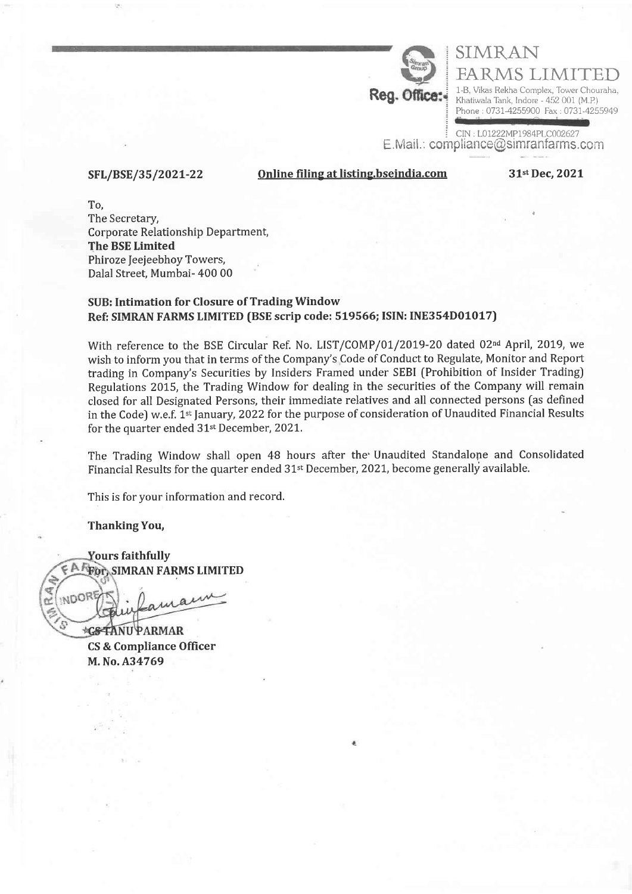

FARMS LIMIT 1-B, Vikas Rekha Complex, Tower Chouraha, Khatiwala Tank, Indore - 452 001 (M.P) Phone : 0731-4255900 Fax : 0731-4255949

CIN: L01222MP1984PLC002627  $E.Mail.:$  compliance@simranfarms.com

SIMRAN

## Online filing at listing.bseindia.com

31st Dec, 2021

The Secretary, Corporate Relationship Department, The BSE Limited Phiroze Jeejeebhoy Towers, Dalal Street, Mumbai- 400 00 To,

SFL/BSE/35/2o2r-22

# SUB: Intimation for Closure of TradingWindow Ref: SIMRAN FARMS LIMITED (BSE scrip code: 519566; ISIN: INE354D01017)

With reference to the BSE Circular Ref. No. LIST/COMP/01/2019-20 dated 02<sup>nd</sup> April, 2019, we wish to inform you that in terms of the Company's Code of Conduct to Regulate, Monitor and Report trading in Company's Securities by Insiders Framed under SEBI (Prohibition of Insider Trading) Regulations 2015, the Trading Window for dealing in the securities of the Company will remain closed for all Designated Persons, their immediate relatives and all connected persons [as defined in the Code) w.e.f. 1<sup>st</sup> January, 2022 for the purpose of consideration of Unaudited Financial Results for the quarter ended 31<sup>st</sup> December, 2021.

The Trading Window shall open 48 hours after the'Unaudited Standalope and Consolidated Financial Results for the quarter ended 31<sup>st</sup> December, 2021, become generally available.

This is for your information and record.

ThankingYou,

**Yours faithfully E A FEOT, SIMRAN FARMS LIMITED** 

INDOR Jamain

**CSTANU PARMAR** CS & Compliance Officer M. No. A34769